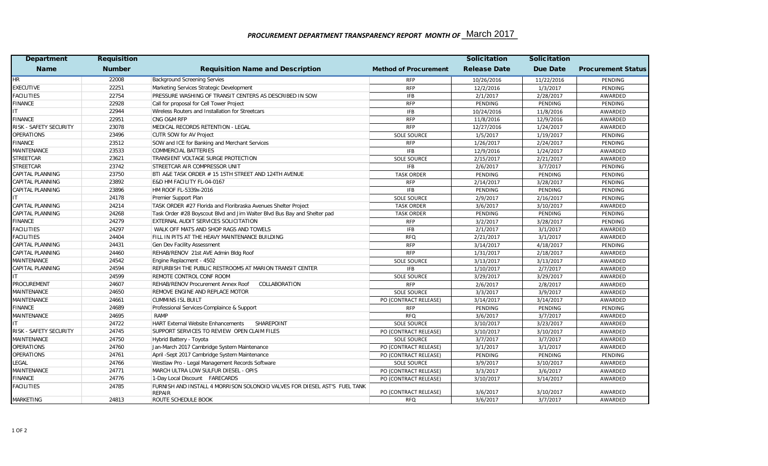## PROCUREMENT DEPARTMENT TRANSPARENCY REPORT MONTH OF \_March 2017

| <b>Department</b>      | <b>Requisition</b> |                                                                                            |                              | <b>Solicitation</b> | <b>Solicitation</b> |                           |
|------------------------|--------------------|--------------------------------------------------------------------------------------------|------------------------------|---------------------|---------------------|---------------------------|
| <b>Name</b>            | <b>Number</b>      | <b>Requisition Name and Description</b>                                                    | <b>Method of Procurement</b> | <b>Release Date</b> | <b>Due Date</b>     | <b>Procurement Status</b> |
| <b>HR</b>              | 22008              | <b>Background Screening Servies</b>                                                        | <b>RFP</b>                   | 10/26/2016          | 11/22/2016          | PENDING                   |
| <b>EXECUTIVE</b>       | 22251              | Marketing Services Strategic Development                                                   | <b>RFP</b>                   | 12/2/2016           | 1/3/2017            | PENDING                   |
| <b>FACILITIES</b>      | 22754              | PRESSURE WASHING OF TRANSIT CENTERS AS DESCRIBED IN SOW                                    | <b>IFB</b>                   | 2/1/2017            | 2/28/2017           | AWARDED                   |
| <b>FINANCE</b>         | 22928              | Call for proposal for Cell Tower Project                                                   | <b>RFP</b>                   | PENDING             | PENDING             | PENDING                   |
| IT.                    | 22944              | Wireless Routers and Installation for Streetcars                                           | <b>IFB</b>                   | 10/24/2016          | 11/8/2016           | AWARDED                   |
| <b>FINANCE</b>         | 22951              | CNG O&M RFP                                                                                | <b>RFP</b>                   | 11/8/2016           | 12/9/2016           | AWARDED                   |
| RISK - SAFETY SECURITY | 23078              | MEDICAL RECORDS RETENTION - LEGAL                                                          | <b>RFP</b>                   | 12/27/2016          | 1/24/2017           | AWARDED                   |
| <b>OPERATIONS</b>      | 23496              | CUTR SOW for AV Project                                                                    | <b>SOLE SOURCE</b>           | 1/5/2017            | 1/19/2017           | PENDING                   |
| <b>FINANCE</b>         | 23512              | SOW and ICE for Banking and Merchant Services                                              | <b>RFP</b>                   | 1/26/2017           | 2/24/2017           | PENDING                   |
| MAINTENANCE            | 23533              | <b>COMMERCIAL BATTERIES</b>                                                                | <b>IFB</b>                   | 12/9/2016           | 1/24/2017           | AWARDED                   |
| STREETCAR              | 23621              | TRANSIENT VOLTAGE SURGE PROTECTION                                                         | <b>SOLE SOURCE</b>           | 2/15/2017           | 2/21/2017           | AWARDED                   |
| STREETCAR              | 23742              | STREETCAR AIR COMPRESSOR UNIT                                                              | <b>IFB</b>                   | 2/6/2017            | 3/7/2017            | PENDING                   |
| CAPITAL PLANNING       | 23750              | BTI A&E TASK ORDER # 15 15TH STREET AND 124TH AVENUE                                       | <b>TASK ORDER</b>            | PENDING             | PENDING             | PENDING                   |
| CAPITAL PLANNING       | 23892              | E&D HM FACILITY FL-04-0167                                                                 | <b>RFP</b>                   | 2/14/2017           | 3/28/2017           | PENDING                   |
| CAPITAL PLANNING       | 23896              | HM ROOF FL-5339x-2016                                                                      | <b>IFB</b>                   | PENDING             | PENDING             | PENDING                   |
| IT                     | 24178              | Premier Support Plan                                                                       | <b>SOLE SOURCE</b>           | 2/9/2017            | 2/16/2017           | PENDING                   |
| CAPITAL PLANNING       | 24214              | TASK ORDER #27 Florida and Floribraska Avenues Shelter Project                             | <b>TASK ORDER</b>            | 3/6/2017            | 3/10/2017           | AWARDED                   |
| CAPITAL PLANNING       | 24268              | Task Order #28 Boyscout Blvd and Jim Walter Blvd Bus Bay and Shelter pad                   | <b>TASK ORDER</b>            | PENDING             | PENDING             | PENDING                   |
| <b>FINANCE</b>         | 24279              | EXTERNAL AUDIT SERVICES SOLICITATION                                                       | <b>RFP</b>                   | 3/2/2017            | 3/28/2017           | PENDING                   |
| <b>FACILITIES</b>      | 24297              | WALK OFF MATS AND SHOP RAGS AND TOWELS                                                     | <b>IFB</b>                   | 2/1/2017            | 3/1/2017            | AWARDED                   |
| <b>FACILITIES</b>      | 24404              | FILL IN PITS AT THE HEAVY MAINTENANCE BUILDING                                             | <b>RFQ</b>                   | 2/21/2017           | 3/1/2017            | AWARDED                   |
| CAPITAL PLANNING       | 24431              | Gen Dev Facility Assessment                                                                | <b>RFP</b>                   | 3/14/2017           | 4/18/2017           | PENDING                   |
| CAPITAL PLANNING       | 24460              | REHAB/RENOV 21st AVE Admin Bldg Roof                                                       | <b>RFP</b>                   | 1/31/2017           | 2/18/2017           | AWARDED                   |
| MAINTENANCE            | 24542              | Engine Replacment - 4502                                                                   | <b>SOLE SOURCE</b>           | 3/13/2017           | 3/13/2017           | AWARDED                   |
| CAPITAL PLANNING       | 24594              | REFURBISH THE PUBLIC RESTROOMS AT MARION TRANSIT CENTER                                    | <b>IFB</b>                   | 1/10/2017           | 2/7/2017            | AWARDED                   |
| IT.                    | 24599              | REMOTE CONTROL CONF ROOM                                                                   | <b>SOLE SOURCE</b>           | 3/29/2017           | 3/29/2017           | AWARDED                   |
| PROCUREMENT            | 24607              | REHAB/RENOV Procurement Annex Roof<br>COLLABORATION                                        | <b>RFP</b>                   | 2/6/2017            | 2/8/2017            | AWARDED                   |
| MAINTENANCE            | 24650              | REMOVE ENGINE AND REPLACE MOTOR                                                            | <b>SOLE SOURCE</b>           | 3/3/2017            | 3/9/2017            | AWARDED                   |
| MAINTENANCE            | 24661              | <b>CUMMINS ISL BUILT</b>                                                                   | PO (CONTRACT RELEASE)        | 3/14/2017           | 3/14/2017           | AWARDED                   |
| <b>FINANCE</b>         | 24689              | Professional Services-Complaince & Support                                                 | <b>RFP</b>                   | PENDING             | PENDING             | PENDING                   |
| MAINTENANCE            | 24695              | <b>RAMP</b>                                                                                | <b>RFQ</b>                   | 3/6/2017            | 3/7/2017            | AWARDED                   |
| IT.                    | 24722              | <b>HART External Website Enhancements</b><br>SHAREPOINT                                    | <b>SOLE SOURCE</b>           | 3/10/2017           | 3/23/2017           | AWARDED                   |
| RISK - SAFETY SECURITY | 24745              | SUPPORT SERVICES TO REVIEW OPEN CLAIM FILES                                                | PO (CONTRACT RELEASE)        | 3/10/2017           | 3/10/2017           | AWARDED                   |
| MAINTENANCE            | 24750              | Hybrid Battery - Toyota                                                                    | <b>SOLE SOURCE</b>           | 3/7/2017            | 3/7/2017            | AWARDED                   |
| <b>OPERATIONS</b>      | 24760              | Jan-March 2017 Cambridge System Maintenance                                                | PO (CONTRACT RELEASE)        | 3/1/2017            | 3/1/2017            | AWARDED                   |
| <b>OPERATIONS</b>      | 24761              | April -Sept 2017 Cambridge System Maintenance                                              | PO (CONTRACT RELEASE)        | PENDING             | PENDING             | PENDING                   |
| LEGAL                  | 24766              | Westlaw Pro - Legal Management Records Software                                            | <b>SOLE SOURCE</b>           | 3/9/2017            | 3/10/2017           | AWARDED                   |
| MAINTENANCE            | 24771              | MARCH ULTRA LOW SULFUR DIESEL - OPIS                                                       | PO (CONTRACT RELEASE)        | 3/3/2017            | 3/6/2017            | AWARDED                   |
| <b>FINANCE</b>         | 24776              | 1-Day Local Discount FARECARDS                                                             | PO (CONTRACT RELEASE)        | 3/10/2017           | 3/14/2017           | AWARDED                   |
| <b>FACILITIES</b>      | 24785              | FURNISH AND INSTALL 4 MORRISON SOLONOID VALVES FOR DIESEL AST'S FUEL TANK<br><b>REPAIR</b> | PO (CONTRACT RELEASE)        | 3/6/2017            | 3/10/2017           | AWARDED                   |
| MARKETING              | 24813              | ROUTE SCHEDULE BOOK                                                                        | RFQ                          | 3/6/2017            | 3/7/2017            | AWARDED                   |